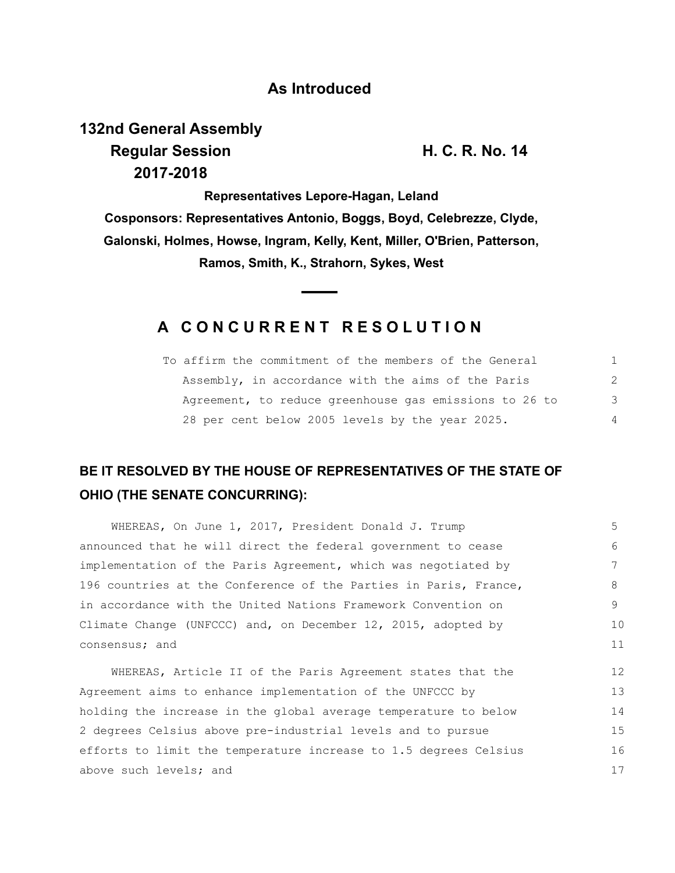#### **As Introduced**

# **132nd General Assembly Regular Session H. C. R. No. 14 2017-2018**

**Representatives Lepore-Hagan, Leland Cosponsors: Representatives Antonio, Boggs, Boyd, Celebrezze, Clyde, Galonski, Holmes, Howse, Ingram, Kelly, Kent, Miller, O'Brien, Patterson, Ramos, Smith, K., Strahorn, Sykes, West**

### **A C O N C U R R E N T R E S O L U T I O N**

| To affirm the commitment of the members of the General |               |
|--------------------------------------------------------|---------------|
| Assembly, in accordance with the aims of the Paris     | $\mathcal{P}$ |
| Agreement, to reduce greenhouse gas emissions to 26 to | 3             |
| 28 per cent below 2005 levels by the year 2025.        | 4             |

## **BE IT RESOLVED BY THE HOUSE OF REPRESENTATIVES OF THE STATE OF OHIO (THE SENATE CONCURRING):**

| WHEREAS, On June 1, 2017, President Donald J. Trump              | 5               |
|------------------------------------------------------------------|-----------------|
| announced that he will direct the federal government to cease    | 6               |
| implementation of the Paris Agreement, which was negotiated by   |                 |
| 196 countries at the Conference of the Parties in Paris, France, | 8               |
| in accordance with the United Nations Framework Convention on    | 9               |
| Climate Change (UNFCCC) and, on December 12, 2015, adopted by    | 10              |
| consensus; and                                                   | 11              |
| WHEREAS, Article II of the Paris Agreement states that the       | 12 <sup>°</sup> |
| Agreement aims to enhance implementation of the UNFCCC by        | 13              |
| holding the increase in the global average temperature to below  | 14              |
| 2 degrees Celsius above pre-industrial levels and to pursue      | 15              |
| efforts to limit the temperature increase to 1.5 degrees Celsius | 16              |
| above such levels; and                                           | 17              |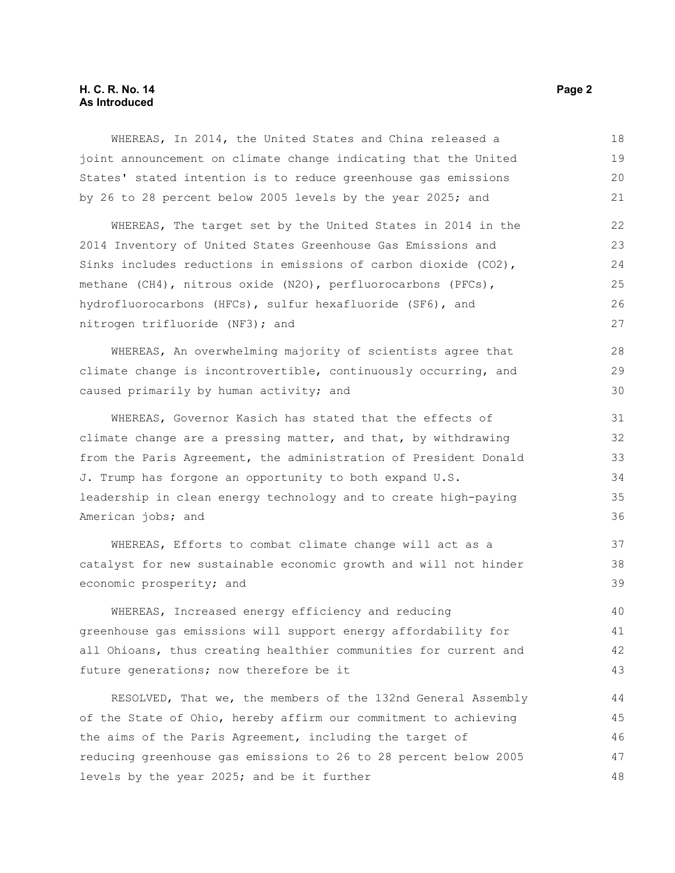#### **H. C. R. No. 14** Page 2 **As Introduced**

WHEREAS, In 2014, the United States and China released a joint announcement on climate change indicating that the United States' stated intention is to reduce greenhouse gas emissions by 26 to 28 percent below 2005 levels by the year 2025; and

WHEREAS, The target set by the United States in 2014 in the 2014 Inventory of United States Greenhouse Gas Emissions and Sinks includes reductions in emissions of carbon dioxide (CO2), methane (CH4), nitrous oxide (N2O), perfluorocarbons (PFCs), hydrofluorocarbons (HFCs), sulfur hexafluoride (SF6), and nitrogen trifluoride (NF3); and

WHEREAS, An overwhelming majority of scientists agree that climate change is incontrovertible, continuously occurring, and caused primarily by human activity; and

WHEREAS, Governor Kasich has stated that the effects of climate change are a pressing matter, and that, by withdrawing from the Paris Agreement, the administration of President Donald J. Trump has forgone an opportunity to both expand U.S. leadership in clean energy technology and to create high-paying American jobs; and

WHEREAS, Efforts to combat climate change will act as a catalyst for new sustainable economic growth and will not hinder economic prosperity; and

WHEREAS, Increased energy efficiency and reducing greenhouse gas emissions will support energy affordability for all Ohioans, thus creating healthier communities for current and future generations; now therefore be it

RESOLVED, That we, the members of the 132nd General Assembly of the State of Ohio, hereby affirm our commitment to achieving the aims of the Paris Agreement, including the target of reducing greenhouse gas emissions to 26 to 28 percent below 2005 levels by the year 2025; and be it further

28 29 30

37 38 39